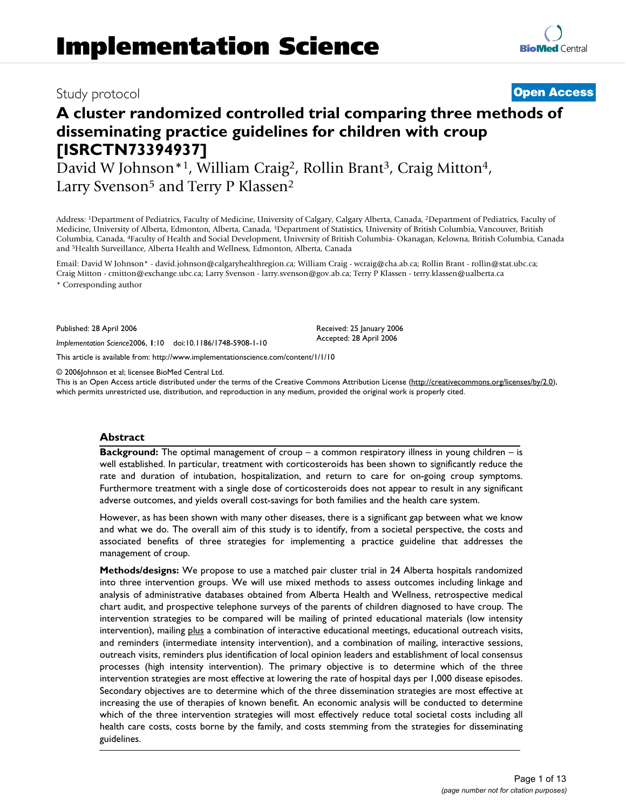## Study protocol **[Open Access](http://www.biomedcentral.com/info/about/charter/)**

# **A cluster randomized controlled trial comparing three methods of disseminating practice guidelines for children with croup [ISRCTN73394937]**

David W Johnson<sup>\*1</sup>, William Craig<sup>2</sup>, Rollin Brant<sup>3</sup>, Craig Mitton<sup>4</sup>, Larry Svenson<sup>5</sup> and Terry P Klassen<sup>2</sup>

Address: 1Department of Pediatrics, Faculty of Medicine, University of Calgary, Calgary Alberta, Canada, 2Department of Pediatrics, Faculty of Medicine, University of Alberta, Edmonton, Alberta, Canada, 3Department of Statistics, University of British Columbia, Vancouver, British Columbia, Canada, 4Faculty of Health and Social Development, University of British Columbia- Okanagan, Kelowna, British Columbia, Canada and 5Health Surveillance, Alberta Health and Wellness, Edmonton, Alberta, Canada

Email: David W Johnson\* - david.johnson@calgaryhealthregion.ca; William Craig - wcraig@cha.ab.ca; Rollin Brant - rollin@stat.ubc.ca; Craig Mitton - cmitton@exchange.ubc.ca; Larry Svenson - larry.svenson@gov.ab.ca; Terry P Klassen - terry.klassen@ualberta.ca \* Corresponding author

Published: 28 April 2006

*Implementation Science*2006, **1**:10 doi:10.1186/1748-5908-1-10

[This article is available from: http://www.implementationscience.com/content/1/1/10](http://www.implementationscience.com/content/1/1/10)

© 2006Johnson et al; licensee BioMed Central Ltd.

This is an Open Access article distributed under the terms of the Creative Commons Attribution License [\(http://creativecommons.org/licenses/by/2.0\)](http://creativecommons.org/licenses/by/2.0), which permits unrestricted use, distribution, and reproduction in any medium, provided the original work is properly cited.

Received: 25 January 2006 Accepted: 28 April 2006

#### **Abstract**

**Background:** The optimal management of croup – a common respiratory illness in young children – is well established. In particular, treatment with corticosteroids has been shown to significantly reduce the rate and duration of intubation, hospitalization, and return to care for on-going croup symptoms. Furthermore treatment with a single dose of corticosteroids does not appear to result in any significant adverse outcomes, and yields overall cost-savings for both families and the health care system.

However, as has been shown with many other diseases, there is a significant gap between what we know and what we do. The overall aim of this study is to identify, from a societal perspective, the costs and associated benefits of three strategies for implementing a practice guideline that addresses the management of croup.

**Methods/designs:** We propose to use a matched pair cluster trial in 24 Alberta hospitals randomized into three intervention groups. We will use mixed methods to assess outcomes including linkage and analysis of administrative databases obtained from Alberta Health and Wellness, retrospective medical chart audit, and prospective telephone surveys of the parents of children diagnosed to have croup. The intervention strategies to be compared will be mailing of printed educational materials (low intensity intervention), mailing plus a combination of interactive educational meetings, educational outreach visits, and reminders (intermediate intensity intervention), and a combination of mailing, interactive sessions, outreach visits, reminders plus identification of local opinion leaders and establishment of local consensus processes (high intensity intervention). The primary objective is to determine which of the three intervention strategies are most effective at lowering the rate of hospital days per 1,000 disease episodes. Secondary objectives are to determine which of the three dissemination strategies are most effective at increasing the use of therapies of known benefit. An economic analysis will be conducted to determine which of the three intervention strategies will most effectively reduce total societal costs including all health care costs, costs borne by the family, and costs stemming from the strategies for disseminating guidelines.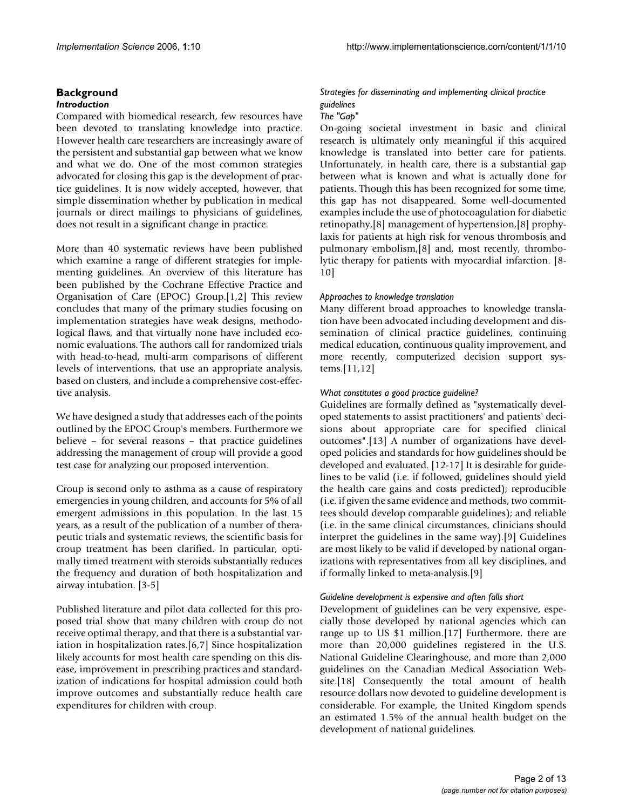#### **Background** *Introduction*

Compared with biomedical research, few resources have been devoted to translating knowledge into practice. However health care researchers are increasingly aware of the persistent and substantial gap between what we know and what we do. One of the most common strategies advocated for closing this gap is the development of practice guidelines. It is now widely accepted, however, that simple dissemination whether by publication in medical journals or direct mailings to physicians of guidelines, does not result in a significant change in practice.

More than 40 systematic reviews have been published which examine a range of different strategies for implementing guidelines. An overview of this literature has been published by the Cochrane Effective Practice and Organisation of Care (EPOC) Group.[1,2] This review concludes that many of the primary studies focusing on implementation strategies have weak designs, methodological flaws, and that virtually none have included economic evaluations. The authors call for randomized trials with head-to-head, multi-arm comparisons of different levels of interventions, that use an appropriate analysis, based on clusters, and include a comprehensive cost-effective analysis.

We have designed a study that addresses each of the points outlined by the EPOC Group's members. Furthermore we believe – for several reasons – that practice guidelines addressing the management of croup will provide a good test case for analyzing our proposed intervention.

Croup is second only to asthma as a cause of respiratory emergencies in young children, and accounts for 5% of all emergent admissions in this population. In the last 15 years, as a result of the publication of a number of therapeutic trials and systematic reviews, the scientific basis for croup treatment has been clarified. In particular, optimally timed treatment with steroids substantially reduces the frequency and duration of both hospitalization and airway intubation. [3-5]

Published literature and pilot data collected for this proposed trial show that many children with croup do not receive optimal therapy, and that there is a substantial variation in hospitalization rates.[6,7] Since hospitalization likely accounts for most health care spending on this disease, improvement in prescribing practices and standardization of indications for hospital admission could both improve outcomes and substantially reduce health care expenditures for children with croup.

### *Strategies for disseminating and implementing clinical practice guidelines*

### *The "Gap"*

On-going societal investment in basic and clinical research is ultimately only meaningful if this acquired knowledge is translated into better care for patients. Unfortunately, in health care, there is a substantial gap between what is known and what is actually done for patients. Though this has been recognized for some time, this gap has not disappeared. Some well-documented examples include the use of photocoagulation for diabetic retinopathy,[8] management of hypertension,[8] prophylaxis for patients at high risk for venous thrombosis and pulmonary embolism,[8] and, most recently, thrombolytic therapy for patients with myocardial infarction. [8- 10]

#### *Approaches to knowledge translation*

Many different broad approaches to knowledge translation have been advocated including development and dissemination of clinical practice guidelines, continuing medical education, continuous quality improvement, and more recently, computerized decision support systems.[11,12]

#### *What constitutes a good practice guideline?*

Guidelines are formally defined as "systematically developed statements to assist practitioners' and patients' decisions about appropriate care for specified clinical outcomes".[13] A number of organizations have developed policies and standards for how guidelines should be developed and evaluated. [12-17] It is desirable for guidelines to be valid (i.e. if followed, guidelines should yield the health care gains and costs predicted); reproducible (i.e. if given the same evidence and methods, two committees should develop comparable guidelines); and reliable (i.e. in the same clinical circumstances, clinicians should interpret the guidelines in the same way).[9] Guidelines are most likely to be valid if developed by national organizations with representatives from all key disciplines, and if formally linked to meta-analysis.[9]

#### *Guideline development is expensive and often falls short*

Development of guidelines can be very expensive, especially those developed by national agencies which can range up to US \$1 million.[17] Furthermore, there are more than 20,000 guidelines registered in the U.S. National Guideline Clearinghouse, and more than 2,000 guidelines on the Canadian Medical Association Website.[18] Consequently the total amount of health resource dollars now devoted to guideline development is considerable. For example, the United Kingdom spends an estimated 1.5% of the annual health budget on the development of national guidelines.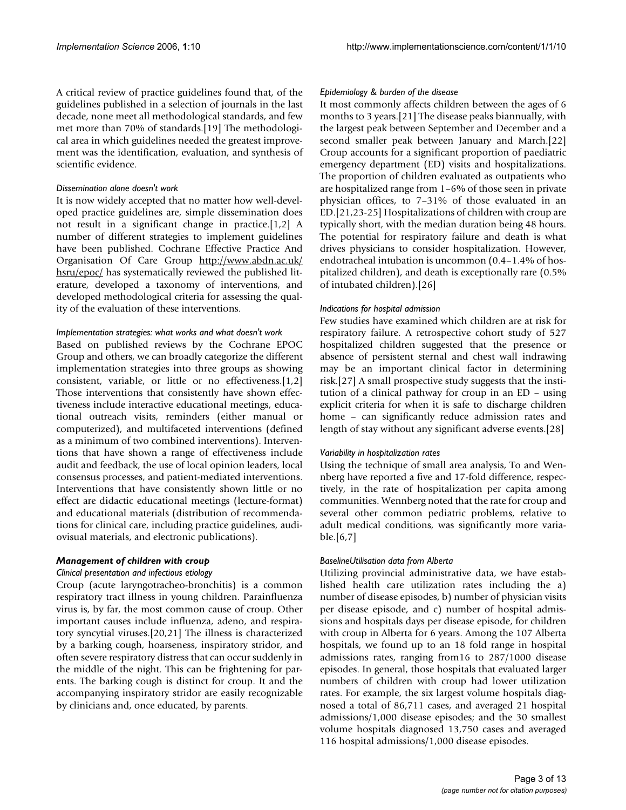A critical review of practice guidelines found that, of the guidelines published in a selection of journals in the last decade, none meet all methodological standards, and few met more than 70% of standards.[19] The methodological area in which guidelines needed the greatest improvement was the identification, evaluation, and synthesis of scientific evidence.

#### *Dissemination alone doesn't work*

It is now widely accepted that no matter how well-developed practice guidelines are, simple dissemination does not result in a significant change in practice.[1,2] A number of different strategies to implement guidelines have been published. Cochrane Effective Practice And Organisation Of Care Group [http://www.abdn.ac.uk/](http://www.abdn.ac.uk/hsru/epoc/) [hsru/epoc/](http://www.abdn.ac.uk/hsru/epoc/) has systematically reviewed the published literature, developed a taxonomy of interventions, and developed methodological criteria for assessing the quality of the evaluation of these interventions.

#### *Implementation strategies: what works and what doesn't work*

Based on published reviews by the Cochrane EPOC Group and others, we can broadly categorize the different implementation strategies into three groups as showing consistent, variable, or little or no effectiveness.[1,2] Those interventions that consistently have shown effectiveness include interactive educational meetings, educational outreach visits, reminders (either manual or computerized), and multifaceted interventions (defined as a minimum of two combined interventions). Interventions that have shown a range of effectiveness include audit and feedback, the use of local opinion leaders, local consensus processes, and patient-mediated interventions. Interventions that have consistently shown little or no effect are didactic educational meetings (lecture-format) and educational materials (distribution of recommendations for clinical care, including practice guidelines, audiovisual materials, and electronic publications).

#### *Management of children with croup*

### *Clinical presentation and infectious etiology*

Croup (acute laryngotracheo-bronchitis) is a common respiratory tract illness in young children. Parainfluenza virus is, by far, the most common cause of croup. Other important causes include influenza, adeno, and respiratory syncytial viruses.[20,21] The illness is characterized by a barking cough, hoarseness, inspiratory stridor, and often severe respiratory distress that can occur suddenly in the middle of the night. This can be frightening for parents. The barking cough is distinct for croup. It and the accompanying inspiratory stridor are easily recognizable by clinicians and, once educated, by parents.

#### *Epidemiology & burden of the disease*

It most commonly affects children between the ages of 6 months to 3 years.[21] The disease peaks biannually, with the largest peak between September and December and a second smaller peak between January and March.[22] Croup accounts for a significant proportion of paediatric emergency department (ED) visits and hospitalizations. The proportion of children evaluated as outpatients who are hospitalized range from 1–6% of those seen in private physician offices, to 7–31% of those evaluated in an ED.[21,23-25] Hospitalizations of children with croup are typically short, with the median duration being 48 hours. The potential for respiratory failure and death is what drives physicians to consider hospitalization. However, endotracheal intubation is uncommon (0.4–1.4% of hospitalized children), and death is exceptionally rare (0.5% of intubated children).[26]

#### *Indications for hospital admission*

Few studies have examined which children are at risk for respiratory failure. A retrospective cohort study of 527 hospitalized children suggested that the presence or absence of persistent sternal and chest wall indrawing may be an important clinical factor in determining risk.[27] A small prospective study suggests that the institution of a clinical pathway for croup in an ED – using explicit criteria for when it is safe to discharge children home – can significantly reduce admission rates and length of stay without any significant adverse events.[28]

#### *Variability in hospitalization rates*

Using the technique of small area analysis, To and Wennberg have reported a five and 17-fold difference, respectively, in the rate of hospitalization per capita among communities. Wennberg noted that the rate for croup and several other common pediatric problems, relative to adult medical conditions, was significantly more variable.[6,7]

#### *BaselineUtilisation data from Alberta*

Utilizing provincial administrative data, we have established health care utilization rates including the a) number of disease episodes, b) number of physician visits per disease episode, and c) number of hospital admissions and hospitals days per disease episode, for children with croup in Alberta for 6 years. Among the 107 Alberta hospitals, we found up to an 18 fold range in hospital admissions rates, ranging from16 to 287/1000 disease episodes. In general, those hospitals that evaluated larger numbers of children with croup had lower utilization rates. For example, the six largest volume hospitals diagnosed a total of 86,711 cases, and averaged 21 hospital admissions/1,000 disease episodes; and the 30 smallest volume hospitals diagnosed 13,750 cases and averaged 116 hospital admissions/1,000 disease episodes.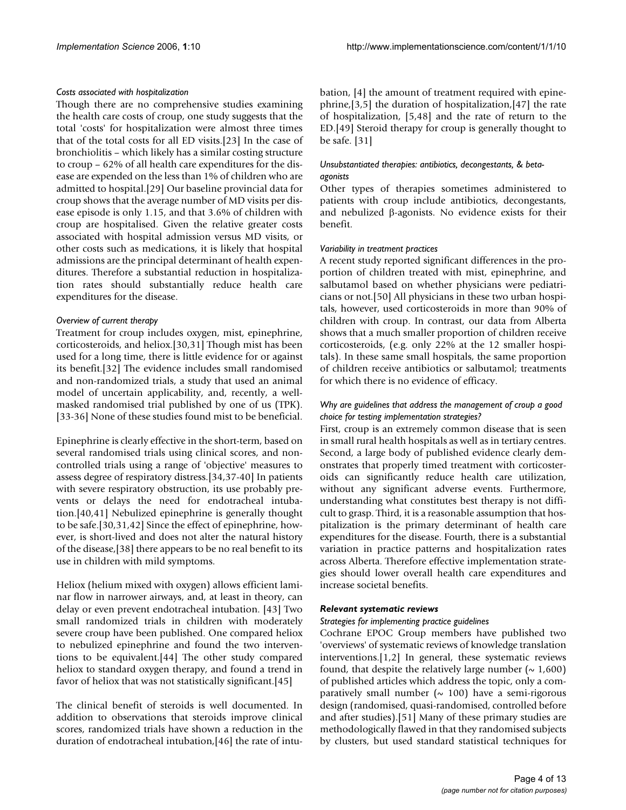#### *Costs associated with hospitalization*

Though there are no comprehensive studies examining the health care costs of croup, one study suggests that the total 'costs' for hospitalization were almost three times that of the total costs for all ED visits.[23] In the case of bronchiolitis – which likely has a similar costing structure to croup – 62% of all health care expenditures for the disease are expended on the less than 1% of children who are admitted to hospital.[29] Our baseline provincial data for croup shows that the average number of MD visits per disease episode is only 1.15, and that 3.6% of children with croup are hospitalised. Given the relative greater costs associated with hospital admission versus MD visits, or other costs such as medications, it is likely that hospital admissions are the principal determinant of health expenditures. Therefore a substantial reduction in hospitalization rates should substantially reduce health care expenditures for the disease.

#### *Overview of current therapy*

Treatment for croup includes oxygen, mist, epinephrine, corticosteroids, and heliox.[30,31] Though mist has been used for a long time, there is little evidence for or against its benefit.[32] The evidence includes small randomised and non-randomized trials, a study that used an animal model of uncertain applicability, and, recently, a wellmasked randomised trial published by one of us (TPK). [33-36] None of these studies found mist to be beneficial.

Epinephrine is clearly effective in the short-term, based on several randomised trials using clinical scores, and noncontrolled trials using a range of 'objective' measures to assess degree of respiratory distress.[34,37-40] In patients with severe respiratory obstruction, its use probably prevents or delays the need for endotracheal intubation.[40,41] Nebulized epinephrine is generally thought to be safe.[30,31,42] Since the effect of epinephrine, however, is short-lived and does not alter the natural history of the disease,[38] there appears to be no real benefit to its use in children with mild symptoms.

Heliox (helium mixed with oxygen) allows efficient laminar flow in narrower airways, and, at least in theory, can delay or even prevent endotracheal intubation. [43] Two small randomized trials in children with moderately severe croup have been published. One compared heliox to nebulized epinephrine and found the two interventions to be equivalent.[44] The other study compared heliox to standard oxygen therapy, and found a trend in favor of heliox that was not statistically significant.[45]

The clinical benefit of steroids is well documented. In addition to observations that steroids improve clinical scores, randomized trials have shown a reduction in the duration of endotracheal intubation,[46] the rate of intubation, [4] the amount of treatment required with epinephrine,[3,5] the duration of hospitalization,[47] the rate of hospitalization, [5,48] and the rate of return to the ED.[49] Steroid therapy for croup is generally thought to be safe. [31]

### *Unsubstantiated therapies: antibiotics, decongestants, & betaagonists*

Other types of therapies sometimes administered to patients with croup include antibiotics, decongestants, and nebulized β-agonists. No evidence exists for their benefit.

#### *Variability in treatment practices*

A recent study reported significant differences in the proportion of children treated with mist, epinephrine, and salbutamol based on whether physicians were pediatricians or not.[50] All physicians in these two urban hospitals, however, used corticosteroids in more than 90% of children with croup. In contrast, our data from Alberta shows that a much smaller proportion of children receive corticosteroids, (e.g. only 22% at the 12 smaller hospitals). In these same small hospitals, the same proportion of children receive antibiotics or salbutamol; treatments for which there is no evidence of efficacy.

#### *Why are guidelines that address the management of croup a good choice for testing implementation strategies?*

First, croup is an extremely common disease that is seen in small rural health hospitals as well as in tertiary centres. Second, a large body of published evidence clearly demonstrates that properly timed treatment with corticosteroids can significantly reduce health care utilization, without any significant adverse events. Furthermore, understanding what constitutes best therapy is not difficult to grasp. Third, it is a reasonable assumption that hospitalization is the primary determinant of health care expenditures for the disease. Fourth, there is a substantial variation in practice patterns and hospitalization rates across Alberta. Therefore effective implementation strategies should lower overall health care expenditures and increase societal benefits.

#### *Relevant systematic reviews*

#### *Strategies for implementing practice guidelines*

Cochrane EPOC Group members have published two 'overviews' of systematic reviews of knowledge translation interventions.[1,2] In general, these systematic reviews found, that despite the relatively large number ( $\sim 1,600$ ) of published articles which address the topic, only a comparatively small number ( $\sim$  100) have a semi-rigorous design (randomised, quasi-randomised, controlled before and after studies).[51] Many of these primary studies are methodologically flawed in that they randomised subjects by clusters, but used standard statistical techniques for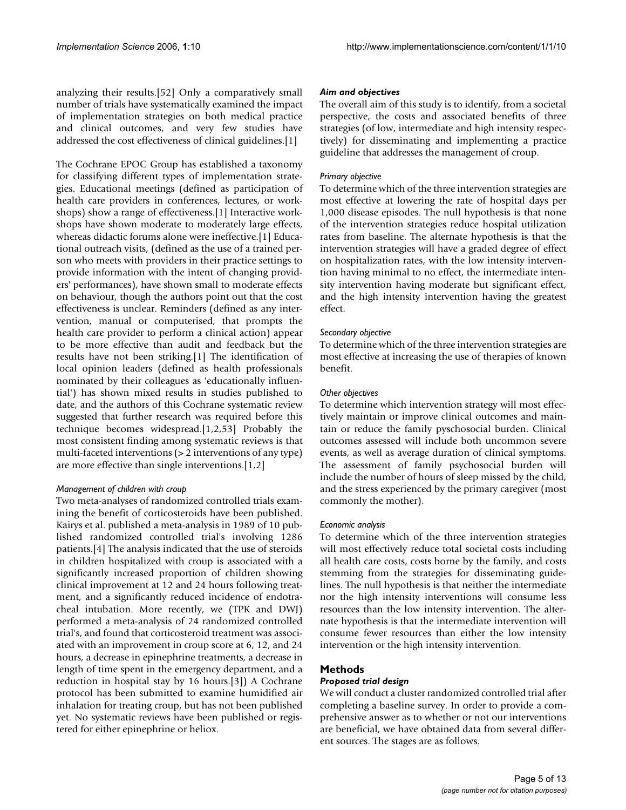analyzing their results.[52] Only a comparatively small number of trials have systematically examined the impact of implementation strategies on both medical practice and clinical outcomes, and very few studies have addressed the cost effectiveness of clinical guidelines.[1]

The Cochrane EPOC Group has established a taxonomy for classifying different types of implementation strategies. Educational meetings (defined as participation of health care providers in conferences, lectures, or workshops) show a range of effectiveness.[1] Interactive workshops have shown moderate to moderately large effects, whereas didactic forums alone were ineffective.[1] Educational outreach visits, (defined as the use of a trained person who meets with providers in their practice settings to provide information with the intent of changing providers' performances), have shown small to moderate effects on behaviour, though the authors point out that the cost effectiveness is unclear. Reminders (defined as any intervention, manual or computerised, that prompts the health care provider to perform a clinical action) appear to be more effective than audit and feedback but the results have not been striking.[1] The identification of local opinion leaders (defined as health professionals nominated by their colleagues as 'educationally influential') has shown mixed results in studies published to date, and the authors of this Cochrane systematic review suggested that further research was required before this technique becomes widespread.[1,2,53] Probably the most consistent finding among systematic reviews is that multi-faceted interventions (> 2 interventions of any type) are more effective than single interventions.[1,2]

### *Management of children with croup*

Two meta-analyses of randomized controlled trials examining the benefit of corticosteroids have been published. Kairys et al. published a meta-analysis in 1989 of 10 published randomized controlled trial's involving 1286 patients.[4] The analysis indicated that the use of steroids in children hospitalized with croup is associated with a significantly increased proportion of children showing clinical improvement at 12 and 24 hours following treatment, and a significantly reduced incidence of endotracheal intubation. More recently, we (TPK and DWJ) performed a meta-analysis of 24 randomized controlled trial's, and found that corticosteroid treatment was associated with an improvement in croup score at 6, 12, and 24 hours, a decrease in epinephrine treatments, a decrease in length of time spent in the emergency department, and a reduction in hospital stay by 16 hours.[3]) A Cochrane protocol has been submitted to examine humidified air inhalation for treating croup, but has not been published yet. No systematic reviews have been published or registered for either epinephrine or heliox.

### *Aim and objectives*

The overall aim of this study is to identify, from a societal perspective, the costs and associated benefits of three strategies (of low, intermediate and high intensity respectively) for disseminating and implementing a practice guideline that addresses the management of croup.

### *Primary objective*

To determine which of the three intervention strategies are most effective at lowering the rate of hospital days per 1,000 disease episodes. The null hypothesis is that none of the intervention strategies reduce hospital utilization rates from baseline. The alternate hypothesis is that the intervention strategies will have a graded degree of effect on hospitalization rates, with the low intensity intervention having minimal to no effect, the intermediate intensity intervention having moderate but significant effect, and the high intensity intervention having the greatest effect.

### *Secondary objective*

To determine which of the three intervention strategies are most effective at increasing the use of therapies of known benefit.

### *Other objectives*

To determine which intervention strategy will most effectively maintain or improve clinical outcomes and maintain or reduce the family pyschosocial burden. Clinical outcomes assessed will include both uncommon severe events, as well as average duration of clinical symptoms. The assessment of family psychosocial burden will include the number of hours of sleep missed by the child, and the stress experienced by the primary caregiver (most commonly the mother).

### *Economic analysis*

To determine which of the three intervention strategies will most effectively reduce total societal costs including all health care costs, costs borne by the family, and costs stemming from the strategies for disseminating guidelines. The null hypothesis is that neither the intermediate nor the high intensity interventions will consume less resources than the low intensity intervention. The alternate hypothesis is that the intermediate intervention will consume fewer resources than either the low intensity intervention or the high intensity intervention.

### **Methods**

### *Proposed trial design*

We will conduct a cluster randomized controlled trial after completing a baseline survey. In order to provide a comprehensive answer as to whether or not our interventions are beneficial, we have obtained data from several different sources. The stages are as follows.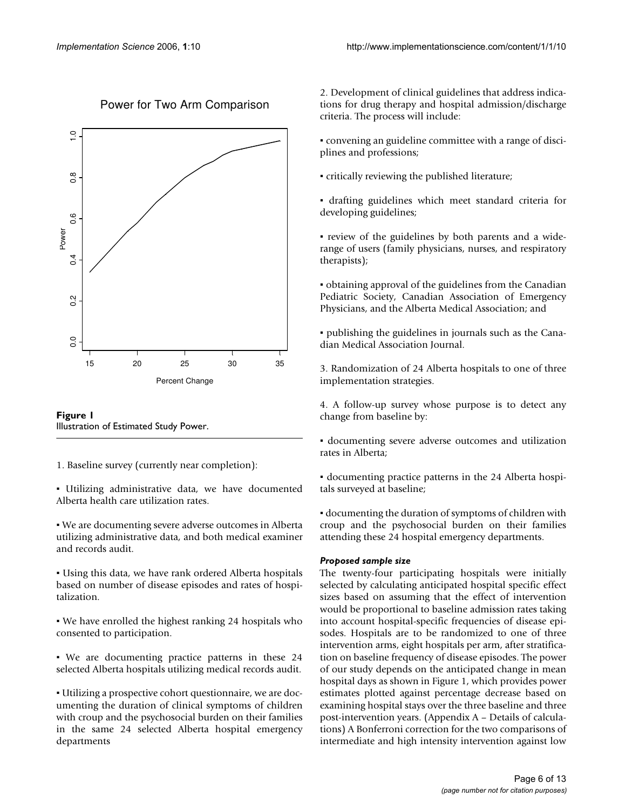

### Power for Two Arm Comparison



1. Baseline survey (currently near completion):

▪ Utilizing administrative data, we have documented Alberta health care utilization rates.

▪ We are documenting severe adverse outcomes in Alberta utilizing administrative data, and both medical examiner and records audit.

▪ Using this data, we have rank ordered Alberta hospitals based on number of disease episodes and rates of hospitalization.

▪ We have enrolled the highest ranking 24 hospitals who consented to participation.

▪ We are documenting practice patterns in these 24 selected Alberta hospitals utilizing medical records audit.

▪ Utilizing a prospective cohort questionnaire, we are documenting the duration of clinical symptoms of children with croup and the psychosocial burden on their families in the same 24 selected Alberta hospital emergency departments

2. Development of clinical guidelines that address indications for drug therapy and hospital admission/discharge criteria. The process will include:

▪ convening an guideline committee with a range of disciplines and professions;

▪ critically reviewing the published literature;

▪ drafting guidelines which meet standard criteria for developing guidelines;

▪ review of the guidelines by both parents and a widerange of users (family physicians, nurses, and respiratory therapists);

▪ obtaining approval of the guidelines from the Canadian Pediatric Society, Canadian Association of Emergency Physicians, and the Alberta Medical Association; and

▪ publishing the guidelines in journals such as the Canadian Medical Association Journal.

3. Randomization of 24 Alberta hospitals to one of three implementation strategies.

4. A follow-up survey whose purpose is to detect any change from baseline by:

▪ documenting severe adverse outcomes and utilization rates in Alberta;

▪ documenting practice patterns in the 24 Alberta hospitals surveyed at baseline;

▪ documenting the duration of symptoms of children with croup and the psychosocial burden on their families attending these 24 hospital emergency departments.

#### *Proposed sample size*

The twenty-four participating hospitals were initially selected by calculating anticipated hospital specific effect sizes based on assuming that the effect of intervention would be proportional to baseline admission rates taking into account hospital-specific frequencies of disease episodes. Hospitals are to be randomized to one of three intervention arms, eight hospitals per arm, after stratification on baseline frequency of disease episodes. The power of our study depends on the anticipated change in mean hospital days as shown in Figure 1, which provides power estimates plotted against percentage decrease based on examining hospital stays over the three baseline and three post-intervention years. (Appendix A – Details of calculations) A Bonferroni correction for the two comparisons of intermediate and high intensity intervention against low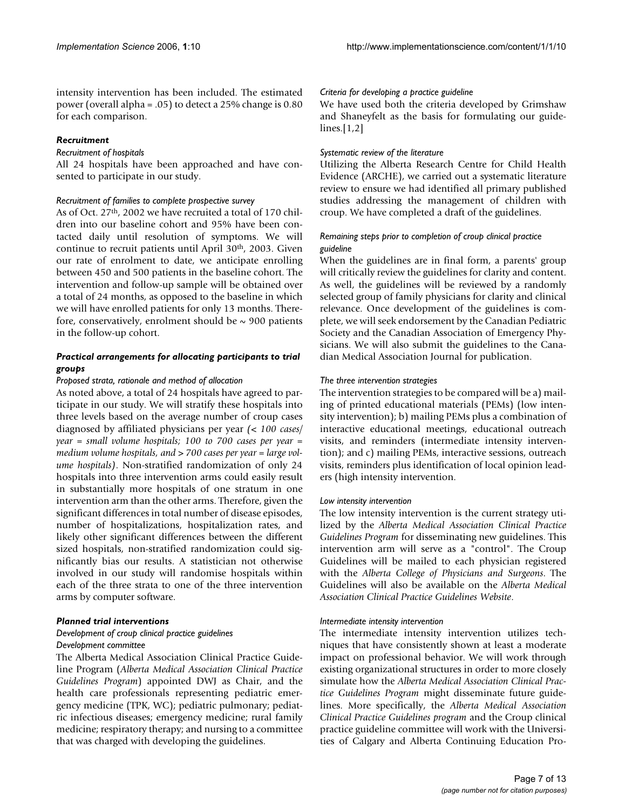intensity intervention has been included. The estimated power (overall alpha = .05) to detect a 25% change is 0.80 for each comparison.

### *Recruitment*

#### *Recruitment of hospitals*

All 24 hospitals have been approached and have consented to participate in our study.

#### *Recruitment of families to complete prospective survey*

As of Oct. 27<sup>th</sup>, 2002 we have recruited a total of 170 children into our baseline cohort and 95% have been contacted daily until resolution of symptoms. We will continue to recruit patients until April 30<sup>th</sup>, 2003. Given our rate of enrolment to date, we anticipate enrolling between 450 and 500 patients in the baseline cohort. The intervention and follow-up sample will be obtained over a total of 24 months, as opposed to the baseline in which we will have enrolled patients for only 13 months. Therefore, conservatively, enrolment should be  $\sim$  900 patients in the follow-up cohort.

### *Practical arrangements for allocating participants to trial groups*

#### *Proposed strata, rationale and method of allocation*

As noted above, a total of 24 hospitals have agreed to participate in our study. We will stratify these hospitals into three levels based on the average number of croup cases diagnosed by affiliated physicians per year *(< 100 cases/ year = small volume hospitals; 100 to 700 cases per year = medium volume hospitals, and > 700 cases per year = large volume hospitals)*. Non-stratified randomization of only 24 hospitals into three intervention arms could easily result in substantially more hospitals of one stratum in one intervention arm than the other arms. Therefore, given the significant differences in total number of disease episodes, number of hospitalizations, hospitalization rates, and likely other significant differences between the different sized hospitals, non-stratified randomization could significantly bias our results. A statistician not otherwise involved in our study will randomise hospitals within each of the three strata to one of the three intervention arms by computer software.

#### *Planned trial interventions*

#### *Development of croup clinical practice guidelines Development committee*

The Alberta Medical Association Clinical Practice Guideline Program (*Alberta Medical Association Clinical Practice Guidelines Program*) appointed DWJ as Chair, and the health care professionals representing pediatric emergency medicine (TPK, WC); pediatric pulmonary; pediatric infectious diseases; emergency medicine; rural family medicine; respiratory therapy; and nursing to a committee that was charged with developing the guidelines.

#### *Criteria for developing a practice guideline*

We have used both the criteria developed by Grimshaw and Shaneyfelt as the basis for formulating our guidelines.[1,2]

#### *Systematic review of the literature*

Utilizing the Alberta Research Centre for Child Health Evidence (ARCHE), we carried out a systematic literature review to ensure we had identified all primary published studies addressing the management of children with croup. We have completed a draft of the guidelines.

### *Remaining steps prior to completion of croup clinical practice guideline*

When the guidelines are in final form, a parents' group will critically review the guidelines for clarity and content. As well, the guidelines will be reviewed by a randomly selected group of family physicians for clarity and clinical relevance. Once development of the guidelines is complete, we will seek endorsement by the Canadian Pediatric Society and the Canadian Association of Emergency Physicians. We will also submit the guidelines to the Canadian Medical Association Journal for publication.

#### *The three intervention strategies*

The intervention strategies to be compared will be a) mailing of printed educational materials (PEMs) (low intensity intervention); b) mailing PEMs plus a combination of interactive educational meetings, educational outreach visits, and reminders (intermediate intensity intervention); and c) mailing PEMs, interactive sessions, outreach visits, reminders plus identification of local opinion leaders (high intensity intervention.

#### *Low intensity intervention*

The low intensity intervention is the current strategy utilized by the *Alberta Medical Association Clinical Practice Guidelines Program* for disseminating new guidelines. This intervention arm will serve as a "control". The Croup Guidelines will be mailed to each physician registered with the *Alberta College of Physicians and Surgeons*. The Guidelines will also be available on the *Alberta Medical Association Clinical Practice Guidelines Website*.

#### *Intermediate intensity intervention*

The intermediate intensity intervention utilizes techniques that have consistently shown at least a moderate impact on professional behavior. We will work through existing organizational structures in order to more closely simulate how the *Alberta Medical Association Clinical Practice Guidelines Program* might disseminate future guidelines. More specifically, the *Alberta Medical Association Clinical Practice Guidelines program* and the Croup clinical practice guideline committee will work with the Universities of Calgary and Alberta Continuing Education Pro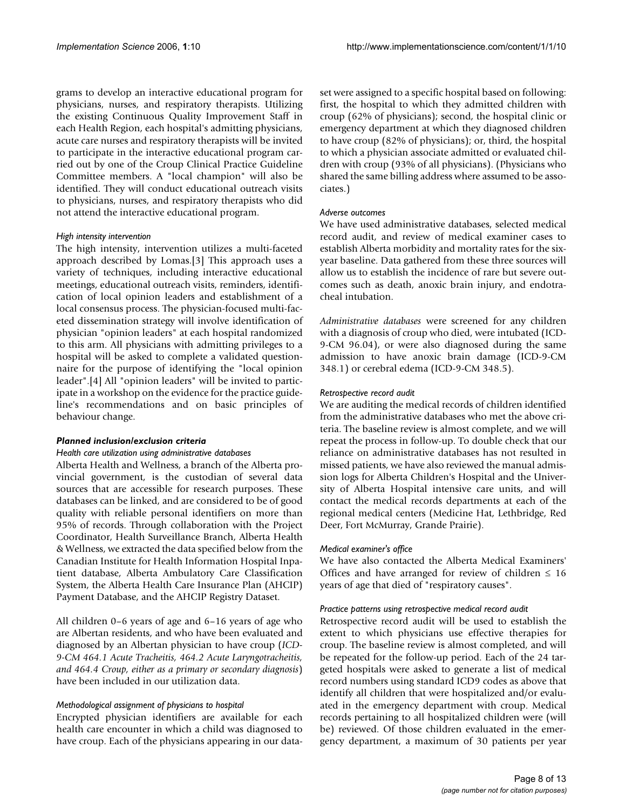grams to develop an interactive educational program for physicians, nurses, and respiratory therapists. Utilizing the existing Continuous Quality Improvement Staff in each Health Region, each hospital's admitting physicians, acute care nurses and respiratory therapists will be invited to participate in the interactive educational program carried out by one of the Croup Clinical Practice Guideline Committee members. A "local champion" will also be identified. They will conduct educational outreach visits to physicians, nurses, and respiratory therapists who did not attend the interactive educational program.

#### *High intensity intervention*

The high intensity, intervention utilizes a multi-faceted approach described by Lomas.[3] This approach uses a variety of techniques, including interactive educational meetings, educational outreach visits, reminders, identification of local opinion leaders and establishment of a local consensus process. The physician-focused multi-faceted dissemination strategy will involve identification of physician "opinion leaders" at each hospital randomized to this arm. All physicians with admitting privileges to a hospital will be asked to complete a validated questionnaire for the purpose of identifying the "local opinion leader".[4] All "opinion leaders" will be invited to participate in a workshop on the evidence for the practice guideline's recommendations and on basic principles of behaviour change.

#### *Planned inclusion/exclusion criteria*

#### *Health care utilization using administrative databases*

Alberta Health and Wellness, a branch of the Alberta provincial government, is the custodian of several data sources that are accessible for research purposes. These databases can be linked, and are considered to be of good quality with reliable personal identifiers on more than 95% of records. Through collaboration with the Project Coordinator, Health Surveillance Branch, Alberta Health & Wellness, we extracted the data specified below from the Canadian Institute for Health Information Hospital Inpatient database, Alberta Ambulatory Care Classification System, the Alberta Health Care Insurance Plan (AHCIP) Payment Database, and the AHCIP Registry Dataset.

All children 0–6 years of age and 6–16 years of age who are Albertan residents, and who have been evaluated and diagnosed by an Albertan physician to have croup (*ICD-9-CM 464.1 Acute Tracheitis, 464.2 Acute Laryngotracheitis, and 464.4 Croup, either as a primary or secondary diagnosis*) have been included in our utilization data.

#### *Methodological assignment of physicians to hospital*

Encrypted physician identifiers are available for each health care encounter in which a child was diagnosed to have croup. Each of the physicians appearing in our dataset were assigned to a specific hospital based on following: first, the hospital to which they admitted children with croup (62% of physicians); second, the hospital clinic or emergency department at which they diagnosed children to have croup (82% of physicians); or, third, the hospital to which a physician associate admitted or evaluated children with croup (93% of all physicians). (Physicians who shared the same billing address where assumed to be associates.)

#### *Adverse outcomes*

We have used administrative databases, selected medical record audit, and review of medical examiner cases to establish Alberta morbidity and mortality rates for the sixyear baseline. Data gathered from these three sources will allow us to establish the incidence of rare but severe outcomes such as death, anoxic brain injury, and endotracheal intubation.

*Administrative databases* were screened for any children with a diagnosis of croup who died, were intubated (ICD-9-CM 96.04), or were also diagnosed during the same admission to have anoxic brain damage (ICD-9-CM 348.1) or cerebral edema (ICD-9-CM 348.5).

#### *Retrospective record audit*

We are auditing the medical records of children identified from the administrative databases who met the above criteria. The baseline review is almost complete, and we will repeat the process in follow-up. To double check that our reliance on administrative databases has not resulted in missed patients, we have also reviewed the manual admission logs for Alberta Children's Hospital and the University of Alberta Hospital intensive care units, and will contact the medical records departments at each of the regional medical centers (Medicine Hat, Lethbridge, Red Deer, Fort McMurray, Grande Prairie).

#### *Medical examiner's office*

We have also contacted the Alberta Medical Examiners' Offices and have arranged for review of children  $\leq 16$ years of age that died of "respiratory causes".

#### *Practice patterns using retrospective medical record audit*

Retrospective record audit will be used to establish the extent to which physicians use effective therapies for croup. The baseline review is almost completed, and will be repeated for the follow-up period. Each of the 24 targeted hospitals were asked to generate a list of medical record numbers using standard ICD9 codes as above that identify all children that were hospitalized and/or evaluated in the emergency department with croup. Medical records pertaining to all hospitalized children were (will be) reviewed. Of those children evaluated in the emergency department, a maximum of 30 patients per year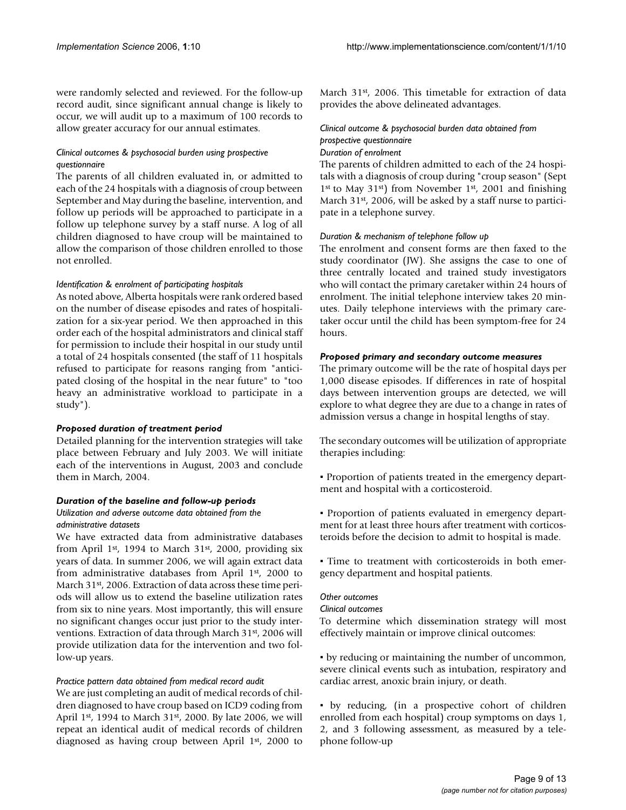were randomly selected and reviewed. For the follow-up record audit, since significant annual change is likely to occur, we will audit up to a maximum of 100 records to allow greater accuracy for our annual estimates.

### *Clinical outcomes & psychosocial burden using prospective questionnaire*

The parents of all children evaluated in, or admitted to each of the 24 hospitals with a diagnosis of croup between September and May during the baseline, intervention, and follow up periods will be approached to participate in a follow up telephone survey by a staff nurse. A log of all children diagnosed to have croup will be maintained to allow the comparison of those children enrolled to those not enrolled.

#### *Identification & enrolment of participating hospitals*

As noted above, Alberta hospitals were rank ordered based on the number of disease episodes and rates of hospitalization for a six-year period. We then approached in this order each of the hospital administrators and clinical staff for permission to include their hospital in our study until a total of 24 hospitals consented (the staff of 11 hospitals refused to participate for reasons ranging from "anticipated closing of the hospital in the near future" to "too heavy an administrative workload to participate in a study").

#### *Proposed duration of treatment period*

Detailed planning for the intervention strategies will take place between February and July 2003. We will initiate each of the interventions in August, 2003 and conclude them in March, 2004.

#### *Duration of the baseline and follow-up periods*

#### *Utilization and adverse outcome data obtained from the administrative datasets*

We have extracted data from administrative databases from April 1st, 1994 to March 31st, 2000, providing six years of data. In summer 2006, we will again extract data from administrative databases from April 1st, 2000 to March 31<sup>st</sup>, 2006. Extraction of data across these time periods will allow us to extend the baseline utilization rates from six to nine years. Most importantly, this will ensure no significant changes occur just prior to the study interventions. Extraction of data through March 31st, 2006 will provide utilization data for the intervention and two follow-up years.

#### *Practice pattern data obtained from medical record audit*

We are just completing an audit of medical records of children diagnosed to have croup based on ICD9 coding from April 1<sup>st</sup>, 1994 to March 31<sup>st</sup>, 2000. By late 2006, we will repeat an identical audit of medical records of children diagnosed as having croup between April 1st, 2000 to March 31st, 2006. This timetable for extraction of data provides the above delineated advantages.

### *Clinical outcome & psychosocial burden data obtained from prospective questionnaire*

### *Duration of enrolment*

The parents of children admitted to each of the 24 hospitals with a diagnosis of croup during "croup season" (Sept 1st to May 31st) from November 1st, 2001 and finishing March 31st, 2006, will be asked by a staff nurse to participate in a telephone survey.

#### *Duration & mechanism of telephone follow up*

The enrolment and consent forms are then faxed to the study coordinator (JW). She assigns the case to one of three centrally located and trained study investigators who will contact the primary caretaker within 24 hours of enrolment. The initial telephone interview takes 20 minutes. Daily telephone interviews with the primary caretaker occur until the child has been symptom-free for 24 hours.

#### *Proposed primary and secondary outcome measures*

The primary outcome will be the rate of hospital days per 1,000 disease episodes. If differences in rate of hospital days between intervention groups are detected, we will explore to what degree they are due to a change in rates of admission versus a change in hospital lengths of stay.

The secondary outcomes will be utilization of appropriate therapies including:

- Proportion of patients treated in the emergency department and hospital with a corticosteroid.
- Proportion of patients evaluated in emergency department for at least three hours after treatment with corticosteroids before the decision to admit to hospital is made.

▪ Time to treatment with corticosteroids in both emergency department and hospital patients.

#### *Other outcomes*

#### *Clinical outcomes*

To determine which dissemination strategy will most effectively maintain or improve clinical outcomes:

▪ by reducing or maintaining the number of uncommon, severe clinical events such as intubation, respiratory and cardiac arrest, anoxic brain injury, or death.

▪ by reducing, (in a prospective cohort of children enrolled from each hospital) croup symptoms on days 1, 2, and 3 following assessment, as measured by a telephone follow-up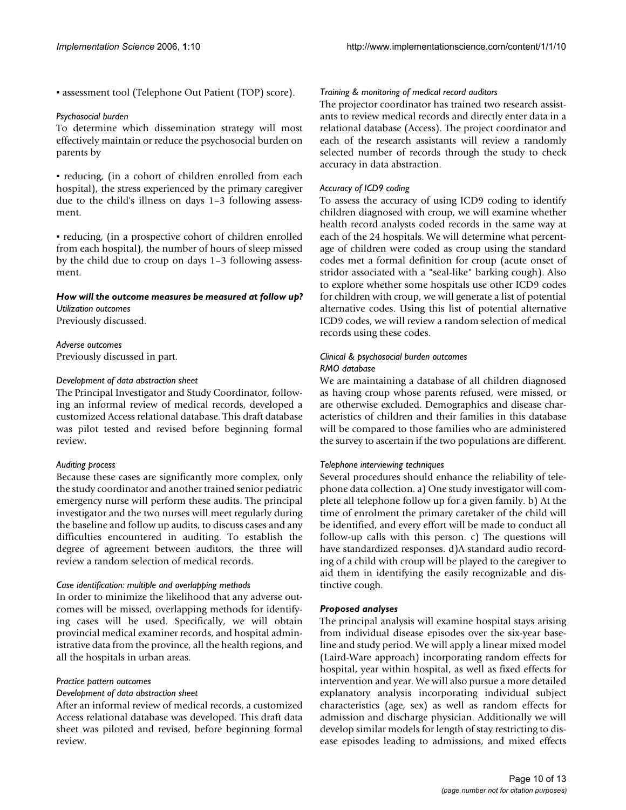▪ assessment tool (Telephone Out Patient (TOP) score).

#### *Psychosocial burden*

To determine which dissemination strategy will most effectively maintain or reduce the psychosocial burden on parents by

▪ reducing, (in a cohort of children enrolled from each hospital), the stress experienced by the primary caregiver due to the child's illness on days 1–3 following assessment.

▪ reducing, (in a prospective cohort of children enrolled from each hospital), the number of hours of sleep missed by the child due to croup on days 1–3 following assessment.

## *How will the outcome measures be measured at follow up?*

*Utilization outcomes* Previously discussed.

*Adverse outcomes* Previously discussed in part.

#### *Development of data abstraction sheet*

The Principal Investigator and Study Coordinator, following an informal review of medical records, developed a customized Access relational database. This draft database was pilot tested and revised before beginning formal review.

#### *Auditing process*

Because these cases are significantly more complex, only the study coordinator and another trained senior pediatric emergency nurse will perform these audits. The principal investigator and the two nurses will meet regularly during the baseline and follow up audits, to discuss cases and any difficulties encountered in auditing. To establish the degree of agreement between auditors, the three will review a random selection of medical records.

#### *Case identification: multiple and overlapping methods*

In order to minimize the likelihood that any adverse outcomes will be missed, overlapping methods for identifying cases will be used. Specifically, we will obtain provincial medical examiner records, and hospital administrative data from the province, all the health regions, and all the hospitals in urban areas.

#### *Practice pattern outcomes*

#### *Development of data abstraction sheet*

After an informal review of medical records, a customized Access relational database was developed. This draft data sheet was piloted and revised, before beginning formal review.

#### *Training & monitoring of medical record auditors*

The projector coordinator has trained two research assistants to review medical records and directly enter data in a relational database (Access). The project coordinator and each of the research assistants will review a randomly selected number of records through the study to check accuracy in data abstraction.

#### *Accuracy of ICD9 coding*

To assess the accuracy of using ICD9 coding to identify children diagnosed with croup, we will examine whether health record analysts coded records in the same way at each of the 24 hospitals. We will determine what percentage of children were coded as croup using the standard codes met a formal definition for croup (acute onset of stridor associated with a "seal-like" barking cough). Also to explore whether some hospitals use other ICD9 codes for children with croup, we will generate a list of potential alternative codes. Using this list of potential alternative ICD9 codes, we will review a random selection of medical records using these codes.

# *Clinical & psychosocial burden outcomes*

*RMO database*

We are maintaining a database of all children diagnosed as having croup whose parents refused, were missed, or are otherwise excluded. Demographics and disease characteristics of children and their families in this database will be compared to those families who are administered the survey to ascertain if the two populations are different.

#### *Telephone interviewing techniques*

Several procedures should enhance the reliability of telephone data collection. a) One study investigator will complete all telephone follow up for a given family. b) At the time of enrolment the primary caretaker of the child will be identified, and every effort will be made to conduct all follow-up calls with this person. c) The questions will have standardized responses. d)A standard audio recording of a child with croup will be played to the caregiver to aid them in identifying the easily recognizable and distinctive cough.

#### *Proposed analyses*

The principal analysis will examine hospital stays arising from individual disease episodes over the six-year baseline and study period. We will apply a linear mixed model (Laird-Ware approach) incorporating random effects for hospital, year within hospital, as well as fixed effects for intervention and year. We will also pursue a more detailed explanatory analysis incorporating individual subject characteristics (age, sex) as well as random effects for admission and discharge physician. Additionally we will develop similar models for length of stay restricting to disease episodes leading to admissions, and mixed effects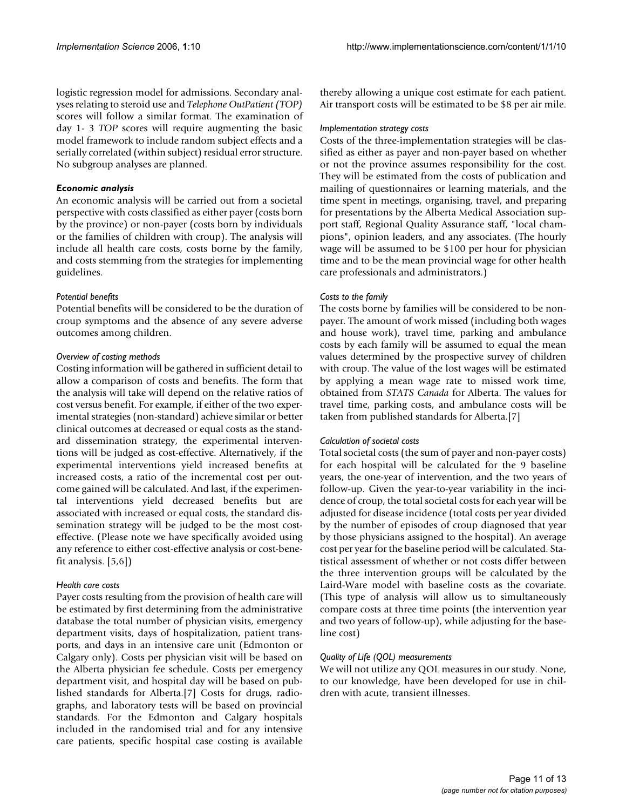logistic regression model for admissions. Secondary analyses relating to steroid use and *Telephone OutPatient (TOP)* scores will follow a similar format. The examination of day 1- 3 *TOP* scores will require augmenting the basic model framework to include random subject effects and a serially correlated (within subject) residual error structure. No subgroup analyses are planned.

#### *Economic analysis*

An economic analysis will be carried out from a societal perspective with costs classified as either payer (costs born by the province) or non-payer (costs born by individuals or the families of children with croup). The analysis will include all health care costs, costs borne by the family, and costs stemming from the strategies for implementing guidelines.

#### *Potential benefits*

Potential benefits will be considered to be the duration of croup symptoms and the absence of any severe adverse outcomes among children.

#### *Overview of costing methods*

Costing information will be gathered in sufficient detail to allow a comparison of costs and benefits. The form that the analysis will take will depend on the relative ratios of cost versus benefit. For example, if either of the two experimental strategies (non-standard) achieve similar or better clinical outcomes at decreased or equal costs as the standard dissemination strategy, the experimental interventions will be judged as cost-effective. Alternatively, if the experimental interventions yield increased benefits at increased costs, a ratio of the incremental cost per outcome gained will be calculated. And last, if the experimental interventions yield decreased benefits but are associated with increased or equal costs, the standard dissemination strategy will be judged to be the most costeffective. (Please note we have specifically avoided using any reference to either cost-effective analysis or cost-benefit analysis. [5,6])

#### *Health care costs*

Payer costs resulting from the provision of health care will be estimated by first determining from the administrative database the total number of physician visits, emergency department visits, days of hospitalization, patient transports, and days in an intensive care unit (Edmonton or Calgary only). Costs per physician visit will be based on the Alberta physician fee schedule. Costs per emergency department visit, and hospital day will be based on published standards for Alberta.[7] Costs for drugs, radiographs, and laboratory tests will be based on provincial standards. For the Edmonton and Calgary hospitals included in the randomised trial and for any intensive care patients, specific hospital case costing is available thereby allowing a unique cost estimate for each patient. Air transport costs will be estimated to be \$8 per air mile.

#### *Implementation strategy costs*

Costs of the three-implementation strategies will be classified as either as payer and non-payer based on whether or not the province assumes responsibility for the cost. They will be estimated from the costs of publication and mailing of questionnaires or learning materials, and the time spent in meetings, organising, travel, and preparing for presentations by the Alberta Medical Association support staff, Regional Quality Assurance staff, "local champions", opinion leaders, and any associates. (The hourly wage will be assumed to be \$100 per hour for physician time and to be the mean provincial wage for other health care professionals and administrators.)

#### *Costs to the family*

The costs borne by families will be considered to be nonpayer. The amount of work missed (including both wages and house work), travel time, parking and ambulance costs by each family will be assumed to equal the mean values determined by the prospective survey of children with croup. The value of the lost wages will be estimated by applying a mean wage rate to missed work time, obtained from *STATS Canada* for Alberta. The values for travel time, parking costs, and ambulance costs will be taken from published standards for Alberta.[7]

#### *Calculation of societal costs*

Total societal costs (the sum of payer and non-payer costs) for each hospital will be calculated for the 9 baseline years, the one-year of intervention, and the two years of follow-up. Given the year-to-year variability in the incidence of croup, the total societal costs for each year will be adjusted for disease incidence (total costs per year divided by the number of episodes of croup diagnosed that year by those physicians assigned to the hospital). An average cost per year for the baseline period will be calculated. Statistical assessment of whether or not costs differ between the three intervention groups will be calculated by the Laird-Ware model with baseline costs as the covariate. (This type of analysis will allow us to simultaneously compare costs at three time points (the intervention year and two years of follow-up), while adjusting for the baseline cost)

#### *Quality of Life (QOL) measurements*

We will not utilize any QOL measures in our study. None, to our knowledge, have been developed for use in children with acute, transient illnesses.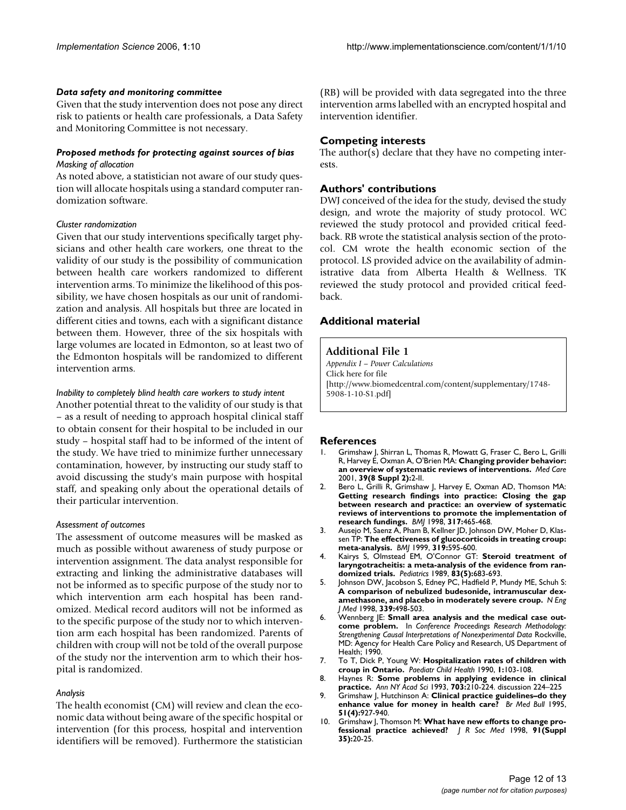#### *Data safety and monitoring committee*

Given that the study intervention does not pose any direct risk to patients or health care professionals, a Data Safety and Monitoring Committee is not necessary.

#### *Proposed methods for protecting against sources of bias Masking of allocation*

As noted above, a statistician not aware of our study question will allocate hospitals using a standard computer randomization software.

#### *Cluster randomization*

Given that our study interventions specifically target physicians and other health care workers, one threat to the validity of our study is the possibility of communication between health care workers randomized to different intervention arms. To minimize the likelihood of this possibility, we have chosen hospitals as our unit of randomization and analysis. All hospitals but three are located in different cities and towns, each with a significant distance between them. However, three of the six hospitals with large volumes are located in Edmonton, so at least two of the Edmonton hospitals will be randomized to different intervention arms.

#### *Inability to completely blind health care workers to study intent*

Another potential threat to the validity of our study is that – as a result of needing to approach hospital clinical staff to obtain consent for their hospital to be included in our study – hospital staff had to be informed of the intent of the study. We have tried to minimize further unnecessary contamination, however, by instructing our study staff to avoid discussing the study's main purpose with hospital staff, and speaking only about the operational details of their particular intervention.

### *Assessment of outcomes*

The assessment of outcome measures will be masked as much as possible without awareness of study purpose or intervention assignment. The data analyst responsible for extracting and linking the administrative databases will not be informed as to specific purpose of the study nor to which intervention arm each hospital has been randomized. Medical record auditors will not be informed as to the specific purpose of the study nor to which intervention arm each hospital has been randomized. Parents of children with croup will not be told of the overall purpose of the study nor the intervention arm to which their hospital is randomized.

### *Analysis*

The health economist (CM) will review and clean the economic data without being aware of the specific hospital or intervention (for this process, hospital and intervention identifiers will be removed). Furthermore the statistician (RB) will be provided with data segregated into the three intervention arms labelled with an encrypted hospital and intervention identifier.

### **Competing interests**

The author(s) declare that they have no competing interests.

### **Authors' contributions**

DWJ conceived of the idea for the study, devised the study design, and wrote the majority of study protocol. WC reviewed the study protocol and provided critical feedback. RB wrote the statistical analysis section of the protocol. CM wrote the health economic section of the protocol. LS provided advice on the availability of administrative data from Alberta Health & Wellness. TK reviewed the study protocol and provided critical feedback.

### **Additional material**

#### **Additional File 1**

*Appendix I – Power Calculations* Click here for file [\[http://www.biomedcentral.com/content/supplementary/1748-](http://www.biomedcentral.com/content/supplementary/1748-5908-1-10-S1.pdf) 5908-1-10-S1.pdf]

#### **References**

- 1. Grimshaw J, Shirran L, Thomas R, Mowatt G, Fraser C, Bero L, Grilli R, Harvey E, Oxman A, O'Brien MA: **Changing provider behavior: an overview of systematic reviews of interventions.** *Med Care* 2001, **39(8 Suppl 2):**2-II.
- 2. Bero L, Grilli R, Grimshaw J, Harvey E, Oxman AD, Thomson MA: **Getting research findings into practice: Closing the gap [between research and practice: an overview of systematic](http://www.ncbi.nlm.nih.gov/entrez/query.fcgi?cmd=Retrieve&db=PubMed&dopt=Abstract&list_uids=9703533) reviews of interventions to promote the implementation of [research fundings.](http://www.ncbi.nlm.nih.gov/entrez/query.fcgi?cmd=Retrieve&db=PubMed&dopt=Abstract&list_uids=9703533)** *BMJ* 1998, **317:**465-468.
- 3. Ausejo M, Saenz A, Pham B, Kellner JD, Johnson DW, Moher D, Klassen TP: **[The effectiveness of glucocorticoids in treating croup:](http://www.ncbi.nlm.nih.gov/entrez/query.fcgi?cmd=Retrieve&db=PubMed&dopt=Abstract&list_uids=10473471) [meta-analysis.](http://www.ncbi.nlm.nih.gov/entrez/query.fcgi?cmd=Retrieve&db=PubMed&dopt=Abstract&list_uids=10473471)** *BMJ* 1999, **319:**595-600.
- 4. Kairys S, Olmstead EM, O'Connor GT: **[Steroid treatment of](http://www.ncbi.nlm.nih.gov/entrez/query.fcgi?cmd=Retrieve&db=PubMed&dopt=Abstract&list_uids=2654865) [laryngotracheitis: a meta-analysis of the evidence from ran](http://www.ncbi.nlm.nih.gov/entrez/query.fcgi?cmd=Retrieve&db=PubMed&dopt=Abstract&list_uids=2654865)[domized trials.](http://www.ncbi.nlm.nih.gov/entrez/query.fcgi?cmd=Retrieve&db=PubMed&dopt=Abstract&list_uids=2654865)** *Pediatrics* 1989, **83(5):**683-693.
- 5. Johnson DW, Jacobson S, Edney PC, Hadfield P, Mundy ME, Schuh S: **A comparison of nebulized budesonide, intramuscular dexamethasone, and placebo in moderately severe croup.** *N Eng J Med* 1998, **339:**498-503.
- 6. Wennberg JE: **Small area analysis and the medical case outcome problem.** In *Conference Proceedings Research Methodology: Strengthening Causal Interpretations of Nonexperimental Data* Rockville, MD: Agency for Health Care Policy and Research, US Department of Health; 1990.
- 7. To T, Dick P, Young W: **Hospitalization rates of children with croup in Ontario.** *Paediatr Child Health* 1990, **1:**103-108.
- 8. Haynes R: **[Some problems in applying evidence in clinical](http://www.ncbi.nlm.nih.gov/entrez/query.fcgi?cmd=Retrieve&db=PubMed&dopt=Abstract&list_uids=8192298) [practice.](http://www.ncbi.nlm.nih.gov/entrez/query.fcgi?cmd=Retrieve&db=PubMed&dopt=Abstract&list_uids=8192298)** *Ann NY Acad Sci* 1993, **703:**210-224. discussion 224–225
- 9. Grimshaw J, Hutchinson A: **[Clinical practice guidelines–do they](http://www.ncbi.nlm.nih.gov/entrez/query.fcgi?cmd=Retrieve&db=PubMed&dopt=Abstract&list_uids=8556300) [enhance value for money in health care?](http://www.ncbi.nlm.nih.gov/entrez/query.fcgi?cmd=Retrieve&db=PubMed&dopt=Abstract&list_uids=8556300)** *Br Med Bull* 1995, **51(4):**927-940.
- 10. Grimshaw J, Thomson M: **[What have new efforts to change pro](http://www.ncbi.nlm.nih.gov/entrez/query.fcgi?cmd=Retrieve&db=PubMed&dopt=Abstract&list_uids=9797746)[fessional practice achieved?](http://www.ncbi.nlm.nih.gov/entrez/query.fcgi?cmd=Retrieve&db=PubMed&dopt=Abstract&list_uids=9797746)** *J R Soc Med* 1998, **91(Suppl 35):**20-25.